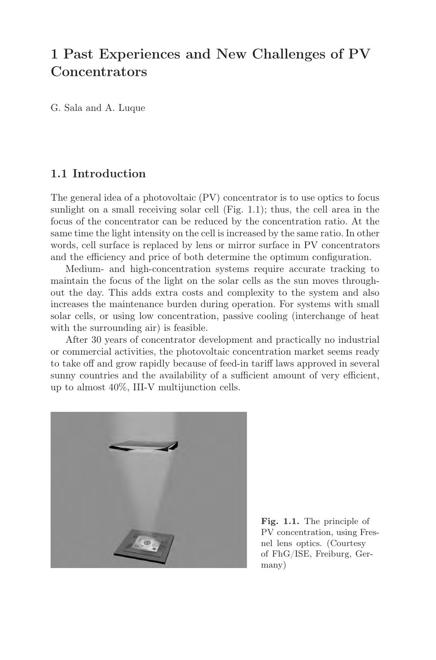# 1 Past Experiences and New Challenges of PV Concentrators

G. Sala and A. Luque

# 1.1 Introduction

The general idea of a photovoltaic (PV) concentrator is to use optics to focus sunlight on a small receiving solar cell (Fig. 1.1); thus, the cell area in the focus of the concentrator can be reduced by the concentration ratio. At the same time the light intensity on the cell is increased by the same ratio. In other words, cell surface is replaced by lens or mirror surface in PV concentrators and the efficiency and price of both determine the optimum configuration.

Medium- and high-concentration systems require accurate tracking to maintain the focus of the light on the solar cells as the sun moves throughout the day. This adds extra costs and complexity to the system and also increases the maintenance burden during operation. For systems with small solar cells, or using low concentration, passive cooling (interchange of heat with the surrounding air) is feasible.

After 30 years of concentrator development and practically no industrial or commercial activities, the photovoltaic concentration market seems ready to take off and grow rapidly because of feed-in tariff laws approved in several sunny countries and the availability of a sufficient amount of very efficient, up to almost 40%, III-V multijunction cells.



Fig. 1.1. The principle of PV concentration, using Fresnel lens optics. (Courtesy of FhG/ISE, Freiburg, Germany)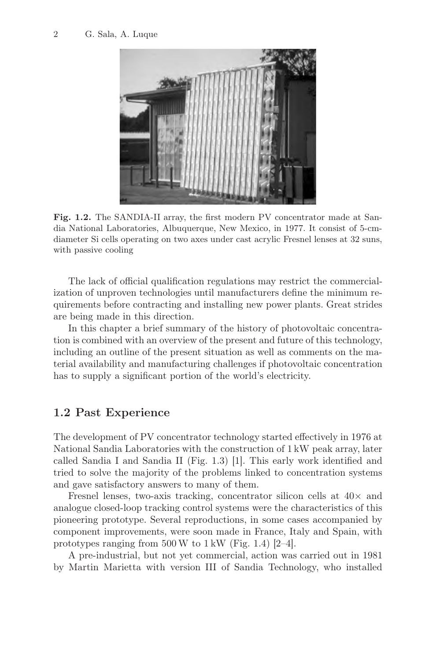

Fig. 1.2. The SANDIA-II array, the first modern PV concentrator made at Sandia National Laboratories, Albuquerque, New Mexico, in 1977. It consist of 5-cmdiameter Si cells operating on two axes under cast acrylic Fresnel lenses at 32 suns, with passive cooling

The lack of official qualification regulations may restrict the commercialization of unproven technologies until manufacturers define the minimum requirements before contracting and installing new power plants. Great strides are being made in this direction.

In this chapter a brief summary of the history of photovoltaic concentration is combined with an overview of the present and future of this technology, including an outline of the present situation as well as comments on the material availability and manufacturing challenges if photovoltaic concentration has to supply a significant portion of the world's electricity.

### 1.2 Past Experience

The development of PV concentrator technology started effectively in 1976 at National Sandia Laboratories with the construction of 1 kW peak array, later called Sandia I and Sandia II (Fig. 1.3) [1]. This early work identified and tried to solve the majority of the problems linked to concentration systems and gave satisfactory answers to many of them.

Fresnel lenses, two-axis tracking, concentrator silicon cells at  $40\times$  and analogue closed-loop tracking control systems were the characteristics of this pioneering prototype. Several reproductions, in some cases accompanied by component improvements, were soon made in France, Italy and Spain, with prototypes ranging from  $500 \,\mathrm{W}$  to  $1 \,\mathrm{kW}$  (Fig. 1.4) [2–4].

A pre-industrial, but not yet commercial, action was carried out in 1981 by Martin Marietta with version III of Sandia Technology, who installed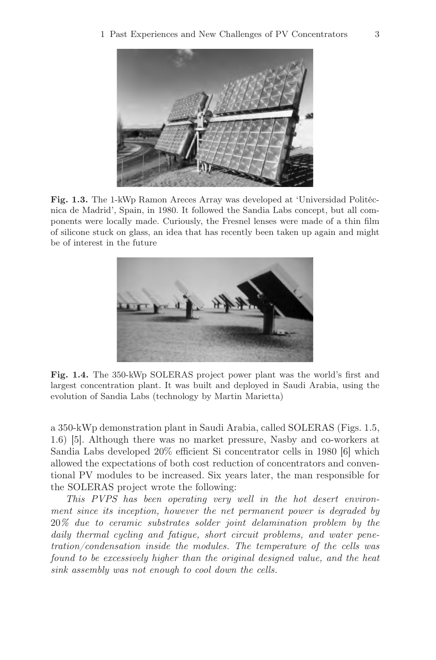

Fig. 1.3. The 1-kWp Ramon Areces Array was developed at 'Universidad Politécnica de Madrid', Spain, in 1980. It followed the Sandia Labs concept, but all components were locally made. Curiously, the Fresnel lenses were made of a thin film of silicone stuck on glass, an idea that has recently been taken up again and might be of interest in the future



Fig. 1.4. The 350-kWp SOLERAS project power plant was the world's first and largest concentration plant. It was built and deployed in Saudi Arabia, using the evolution of Sandia Labs (technology by Martin Marietta)

a 350-kWp demonstration plant in Saudi Arabia, called SOLERAS (Figs. 1.5, 1.6) [5]. Although there was no market pressure, Nasby and co-workers at Sandia Labs developed 20% efficient Si concentrator cells in 1980 [6] which allowed the expectations of both cost reduction of concentrators and conventional PV modules to be increased. Six years later, the man responsible for the SOLERAS project wrote the following:

*This PVPS has been operating very well in the hot desert environment since its inception, however the net permanent power is degraded by* 20*% due to ceramic substrates solder joint delamination problem by the daily thermal cycling and fatigue, short circuit problems, and water penetration/condensation inside the modules. The temperature of the cells was found to be excessively higher than the original designed value, and the heat sink assembly was not enough to cool down the cells.*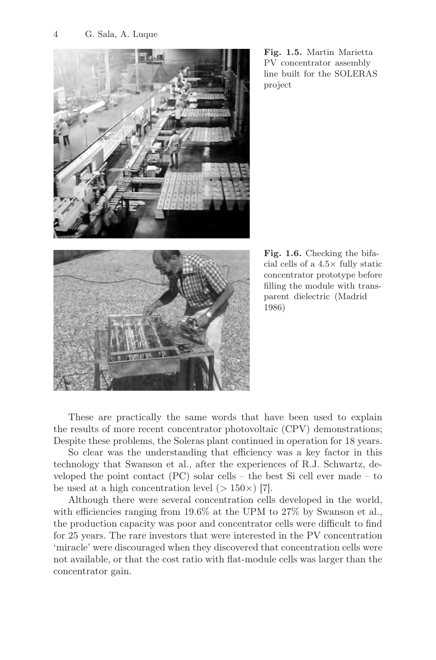

Fig. 1.5. Martin Marietta PV concentrator assembly line built for the SOLERAS project



Fig. 1.6. Checking the bifacial cells of a 4.5<sup>×</sup> fully static concentrator prototype before filling the module with transparent dielectric (Madrid 1986)

These are practically the same words that have been used to explain the results of more recent concentrator photovoltaic (CPV) demonstrations; Despite these problems, the Soleras plant continued in operation for 18 years.

So clear was the understanding that efficiency was a key factor in this technology that Swanson et al., after the experiences of R.J. Schwartz, developed the point contact (PC) solar cells – the best Si cell ever made – to be used at a high concentration level  $(> 150 \times)$  [7].

Although there were several concentration cells developed in the world, with efficiencies ranging from 19.6% at the UPM to 27% by Swanson et al., the production capacity was poor and concentrator cells were difficult to find for 25 years. The rare investors that were interested in the PV concentration 'miracle' were discouraged when they discovered that concentration cells were not available, or that the cost ratio with flat-module cells was larger than the concentrator gain.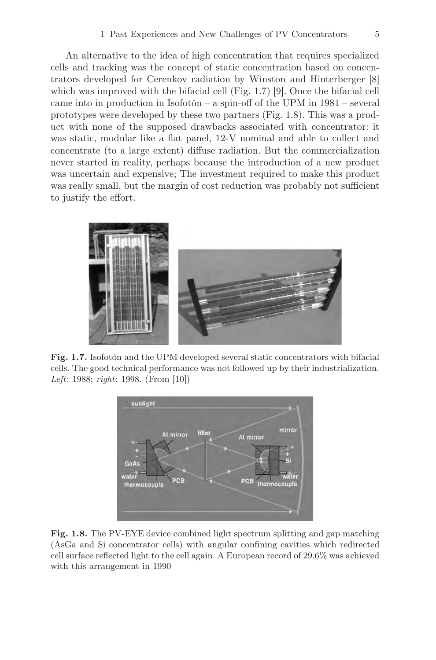An alternative to the idea of high concentration that requires specialized cells and tracking was the concept of static concentration based on concentrators developed for Cerenkov radiation by Winston and Hinterberger [8] which was improved with the bifacial cell (Fig. 1.7) [9]. Once the bifacial cell came into in production in Isofotón – a spin-off of the UPM in  $1981$  – several prototypes were developed by these two partners (Fig. 1.8). This was a product with none of the supposed drawbacks associated with concentrator: it was static, modular like a flat panel, 12-V nominal and able to collect and concentrate (to a large extent) diffuse radiation. But the commercialization never started in reality, perhaps because the introduction of a new product was uncertain and expensive; The investment required to make this product was really small, but the margin of cost reduction was probably not sufficient to justify the effort.



Fig. 1.7. Isofotón and the UPM developed several static concentrators with bifacial cells. The good technical performance was not followed up by their industrialization. *Left*: 1988; *right*: 1998. (From [10])



Fig. 1.8. The PV-EYE device combined light spectrum splitting and gap matching (AsGa and Si concentrator cells) with angular confining cavities which redirected cell surface reflected light to the cell again. A European record of 29.6% was achieved with this arrangement in 1990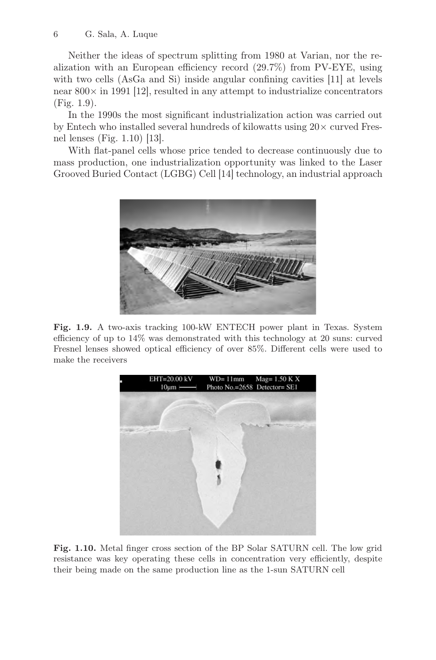Neither the ideas of spectrum splitting from 1980 at Varian, nor the realization with an European efficiency record (29.7%) from PV-EYE, using with two cells (AsGa and Si) inside angular confining cavities [11] at levels near  $800\times$  in 1991 [12], resulted in any attempt to industrialize concentrators (Fig. 1.9).

In the 1990s the most significant industrialization action was carried out by Entech who installed several hundreds of kilowatts using  $20\times$  curved Fresnel lenses (Fig. 1.10) [13].

With flat-panel cells whose price tended to decrease continuously due to mass production, one industrialization opportunity was linked to the Laser Grooved Buried Contact (LGBG) Cell [14] technology, an industrial approach



Fig. 1.9. A two-axis tracking 100-kW ENTECH power plant in Texas. System efficiency of up to 14% was demonstrated with this technology at 20 suns: curved Fresnel lenses showed optical efficiency of over 85%. Different cells were used to make the receivers



Fig. 1.10. Metal finger cross section of the BP Solar SATURN cell. The low grid resistance was key operating these cells in concentration very efficiently, despite their being made on the same production line as the 1-sun SATURN cell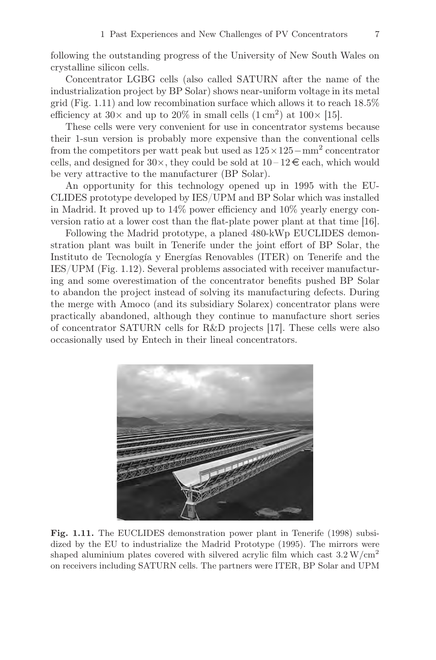following the outstanding progress of the University of New South Wales on crystalline silicon cells.

Concentrator LGBG cells (also called SATURN after the name of the industrialization project by BP Solar) shows near-uniform voltage in its metal grid (Fig. 1.11) and low recombination surface which allows it to reach 18.5% efficiency at  $30\times$  and up to  $20\%$  in small cells  $(1 \text{ cm}^2)$  at  $100\times$  [15].

These cells were very convenient for use in concentrator systems because their 1-sun version is probably more expensive than the conventional cells from the competitors per watt peak but used as  $125\times125-$ mm<sup>2</sup> concentrator cells, and designed for  $30\times$ , they could be sold at  $10-12 \in \text{each}$ , which would be very attractive to the manufacturer (BP Solar).

An opportunity for this technology opened up in 1995 with the EU-CLIDES prototype developed by IES/UPM and BP Solar which was installed in Madrid. It proved up to 14% power efficiency and 10% yearly energy conversion ratio at a lower cost than the flat-plate power plant at that time [16].

Following the Madrid prototype, a planed 480-kWp EUCLIDES demonstration plant was built in Tenerife under the joint effort of BP Solar, the Instituto de Tecnología y Energías Renovables (ITER) on Tenerife and the IES/UPM (Fig. 1.12). Several problems associated with receiver manufacturing and some overestimation of the concentrator benefits pushed BP Solar to abandon the project instead of solving its manufacturing defects. During the merge with Amoco (and its subsidiary Solarex) concentrator plans were practically abandoned, although they continue to manufacture short series of concentrator SATURN cells for R&D projects [17]. These cells were also occasionally used by Entech in their lineal concentrators.



Fig. 1.11. The EUCLIDES demonstration power plant in Tenerife (1998) subsidized by the EU to industrialize the Madrid Prototype (1995). The mirrors were shaped aluminium plates covered with silvered acrylic film which cast  $3.2 \,\mathrm{W/cm}^2$ on receivers including SATURN cells. The partners were ITER, BP Solar and UPM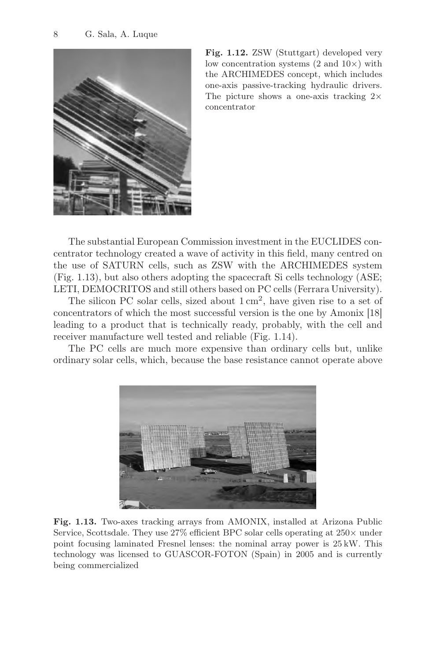

Fig. 1.12. ZSW (Stuttgart) developed very low concentration systems  $(2 \text{ and } 10 \times)$  with the ARCHIMEDES concept, which includes one-axis passive-tracking hydraulic drivers. The picture shows a one-axis tracking  $2\times$ concentrator

The substantial European Commission investment in the EUCLIDES concentrator technology created a wave of activity in this field, many centred on the use of SATURN cells, such as ZSW with the ARCHIMEDES system (Fig. 1.13), but also others adopting the spacecraft Si cells technology (ASE; LETI, DEMOCRITOS and still others based on PC cells (Ferrara University).

The silicon PC solar cells, sized about  $1 \text{ cm}^2$ , have given rise to a set of concentrators of which the most successful version is the one by Amonix [18] leading to a product that is technically ready, probably, with the cell and receiver manufacture well tested and reliable (Fig. 1.14).

The PC cells are much more expensive than ordinary cells but, unlike ordinary solar cells, which, because the base resistance cannot operate above



Fig. 1.13. Two-axes tracking arrays from AMONIX, installed at Arizona Public Service, Scottsdale. They use  $27\%$  efficient BPC solar cells operating at  $250\times$  under point focusing laminated Fresnel lenses: the nominal array power is 25 kW. This technology was licensed to GUASCOR-FOTON (Spain) in 2005 and is currently being commercialized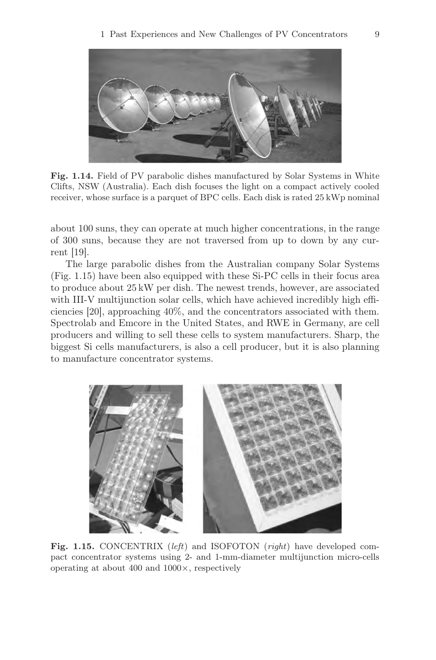

Fig. 1.14. Field of PV parabolic dishes manufactured by Solar Systems in White Clifts, NSW (Australia). Each dish focuses the light on a compact actively cooled receiver, whose surface is a parquet of BPC cells. Each disk is rated 25 kWp nominal

about 100 suns, they can operate at much higher concentrations, in the range of 300 suns, because they are not traversed from up to down by any current [19].

The large parabolic dishes from the Australian company Solar Systems (Fig. 1.15) have been also equipped with these Si-PC cells in their focus area to produce about 25 kW per dish. The newest trends, however, are associated with III-V multijunction solar cells, which have achieved incredibly high efficiencies [20], approaching 40%, and the concentrators associated with them. Spectrolab and Emcore in the United States, and RWE in Germany, are cell producers and willing to sell these cells to system manufacturers. Sharp, the biggest Si cells manufacturers, is also a cell producer, but it is also planning to manufacture concentrator systems.



Fig. 1.15. CONCENTRIX (*left*) and ISOFOTON (*right*) have developed compact concentrator systems using 2- and 1-mm-diameter multijunction micro-cells operating at about 400 and 1000×, respectively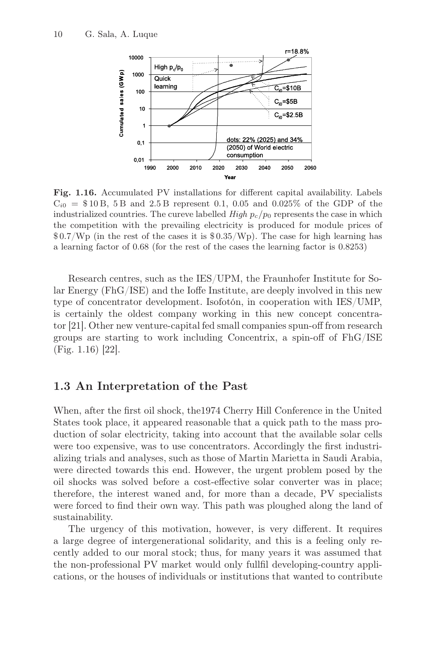

Fig. 1.16. Accumulated PV installations for different capital availability. Labels  $C_{i0}$  = \$10 B, 5 B and 2.5 B represent 0.1, 0.05 and 0.025% of the GDP of the industrialized countries. The cureve labelled  $High p_c/p_0$  represents the case in which the competition with the prevailing electricity is produced for module prices of  $$0.7/Wp$  (in the rest of the cases it is  $$0.35/Wp$ ). The case for high learning has a learning factor of 0.68 (for the rest of the cases the learning factor is 0.8253)

Research centres, such as the IES/UPM, the Fraunhofer Institute for Solar Energy (FhG/ISE) and the Ioffe Institute, are deeply involved in this new type of concentrator development. Isofotón, in cooperation with IES/UMP, is certainly the oldest company working in this new concept concentrator [21]. Other new venture-capital fed small companies spun-off from research groups are starting to work including Concentrix, a spin-off of FhG/ISE (Fig. 1.16) [22].

### 1.3 An Interpretation of the Past

When, after the first oil shock, the1974 Cherry Hill Conference in the United States took place, it appeared reasonable that a quick path to the mass production of solar electricity, taking into account that the available solar cells were too expensive, was to use concentrators. Accordingly the first industrializing trials and analyses, such as those of Martin Marietta in Saudi Arabia, were directed towards this end. However, the urgent problem posed by the oil shocks was solved before a cost-effective solar converter was in place; therefore, the interest waned and, for more than a decade, PV specialists were forced to find their own way. This path was ploughed along the land of sustainability.

The urgency of this motivation, however, is very different. It requires a large degree of intergenerational solidarity, and this is a feeling only recently added to our moral stock; thus, for many years it was assumed that the non-professional PV market would only fullfil developing-country applications, or the houses of individuals or institutions that wanted to contribute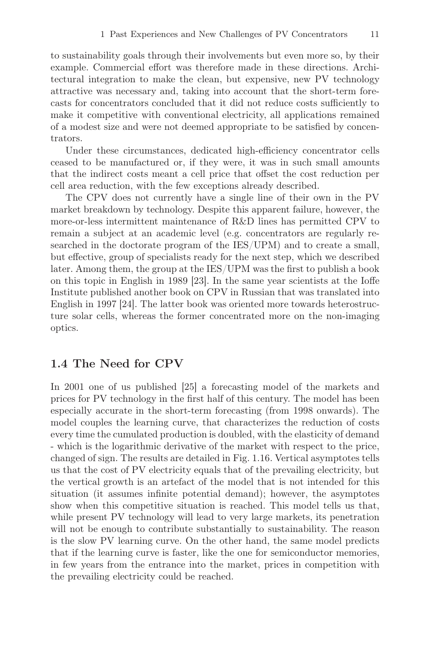to sustainability goals through their involvements but even more so, by their example. Commercial effort was therefore made in these directions. Architectural integration to make the clean, but expensive, new PV technology attractive was necessary and, taking into account that the short-term forecasts for concentrators concluded that it did not reduce costs sufficiently to make it competitive with conventional electricity, all applications remained of a modest size and were not deemed appropriate to be satisfied by concentrators.

Under these circumstances, dedicated high-efficiency concentrator cells ceased to be manufactured or, if they were, it was in such small amounts that the indirect costs meant a cell price that offset the cost reduction per cell area reduction, with the few exceptions already described.

The CPV does not currently have a single line of their own in the PV market breakdown by technology. Despite this apparent failure, however, the more-or-less intermittent maintenance of R&D lines has permitted CPV to remain a subject at an academic level (e.g. concentrators are regularly researched in the doctorate program of the IES/UPM) and to create a small, but effective, group of specialists ready for the next step, which we described later. Among them, the group at the IES/UPM was the first to publish a book on this topic in English in 1989 [23]. In the same year scientists at the Ioffe Institute published another book on CPV in Russian that was translated into English in 1997 [24]. The latter book was oriented more towards heterostructure solar cells, whereas the former concentrated more on the non-imaging optics.

### 1.4 The Need for CPV

In 2001 one of us published [25] a forecasting model of the markets and prices for PV technology in the first half of this century. The model has been especially accurate in the short-term forecasting (from 1998 onwards). The model couples the learning curve, that characterizes the reduction of costs every time the cumulated production is doubled, with the elasticity of demand - which is the logarithmic derivative of the market with respect to the price, changed of sign. The results are detailed in Fig. 1.16. Vertical asymptotes tells us that the cost of PV electricity equals that of the prevailing electricity, but the vertical growth is an artefact of the model that is not intended for this situation (it assumes infinite potential demand); however, the asymptotes show when this competitive situation is reached. This model tells us that, while present PV technology will lead to very large markets, its penetration will not be enough to contribute substantially to sustainability. The reason is the slow PV learning curve. On the other hand, the same model predicts that if the learning curve is faster, like the one for semiconductor memories, in few years from the entrance into the market, prices in competition with the prevailing electricity could be reached.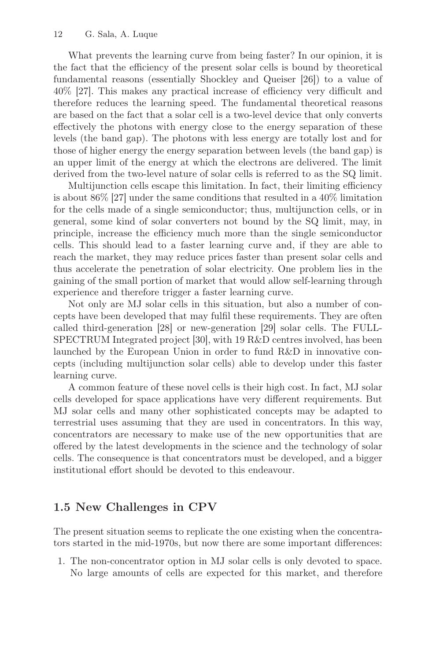What prevents the learning curve from being faster? In our opinion, it is the fact that the efficiency of the present solar cells is bound by theoretical fundamental reasons (essentially Shockley and Queiser [26]) to a value of 40% [27]. This makes any practical increase of efficiency very difficult and therefore reduces the learning speed. The fundamental theoretical reasons are based on the fact that a solar cell is a two-level device that only converts effectively the photons with energy close to the energy separation of these levels (the band gap). The photons with less energy are totally lost and for those of higher energy the energy separation between levels (the band gap) is an upper limit of the energy at which the electrons are delivered. The limit derived from the two-level nature of solar cells is referred to as the SQ limit.

Multijunction cells escape this limitation. In fact, their limiting efficiency is about 86% [27] under the same conditions that resulted in a 40% limitation for the cells made of a single semiconductor; thus, multijunction cells, or in general, some kind of solar converters not bound by the SQ limit, may, in principle, increase the efficiency much more than the single semiconductor cells. This should lead to a faster learning curve and, if they are able to reach the market, they may reduce prices faster than present solar cells and thus accelerate the penetration of solar electricity. One problem lies in the gaining of the small portion of market that would allow self-learning through experience and therefore trigger a faster learning curve.

Not only are MJ solar cells in this situation, but also a number of concepts have been developed that may fulfil these requirements. They are often called third-generation [28] or new-generation [29] solar cells. The FULL-SPECTRUM Integrated project [30], with 19 R&D centres involved, has been launched by the European Union in order to fund R&D in innovative concepts (including multijunction solar cells) able to develop under this faster learning curve.

A common feature of these novel cells is their high cost. In fact, MJ solar cells developed for space applications have very different requirements. But MJ solar cells and many other sophisticated concepts may be adapted to terrestrial uses assuming that they are used in concentrators. In this way, concentrators are necessary to make use of the new opportunities that are offered by the latest developments in the science and the technology of solar cells. The consequence is that concentrators must be developed, and a bigger institutional effort should be devoted to this endeavour.

# 1.5 New Challenges in CPV

The present situation seems to replicate the one existing when the concentrators started in the mid-1970s, but now there are some important differences:

1. The non-concentrator option in MJ solar cells is only devoted to space. No large amounts of cells are expected for this market, and therefore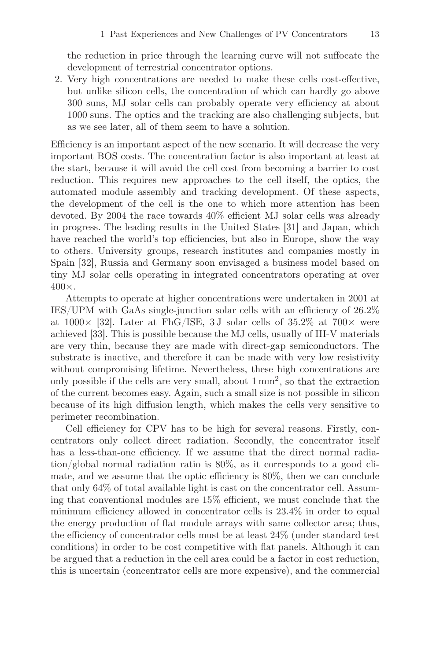the reduction in price through the learning curve will not suffocate the development of terrestrial concentrator options.

2. Very high concentrations are needed to make these cells cost-effective, but unlike silicon cells, the concentration of which can hardly go above 300 suns, MJ solar cells can probably operate very efficiency at about 1000 suns. The optics and the tracking are also challenging subjects, but as we see later, all of them seem to have a solution.

Efficiency is an important aspect of the new scenario. It will decrease the very important BOS costs. The concentration factor is also important at least at the start, because it will avoid the cell cost from becoming a barrier to cost reduction. This requires new approaches to the cell itself, the optics, the automated module assembly and tracking development. Of these aspects, the development of the cell is the one to which more attention has been devoted. By 2004 the race towards 40% efficient MJ solar cells was already in progress. The leading results in the United States [31] and Japan, which have reached the world's top efficiencies, but also in Europe, show the way to others. University groups, research institutes and companies mostly in Spain [32], Russia and Germany soon envisaged a business model based on tiny MJ solar cells operating in integrated concentrators operating at over 400×.

Attempts to operate at higher concentrations were undertaken in 2001 at IES/UPM with GaAs single-junction solar cells with an efficiency of 26.2% at  $1000\times$  [32]. Later at FhG/ISE, 3J solar cells of 35.2% at  $700\times$  were achieved [33]. This is possible because the MJ cells, usually of III-V materials are very thin, because they are made with direct-gap semiconductors. The substrate is inactive, and therefore it can be made with very low resistivity without compromising lifetime. Nevertheless, these high concentrations are only possible if the cells are very small, about  $1 \text{ mm}^2$ , so that the extraction of the current becomes easy. Again, such a small size is not possible in silicon because of its high diffusion length, which makes the cells very sensitive to perimeter recombination.

Cell efficiency for CPV has to be high for several reasons. Firstly, concentrators only collect direct radiation. Secondly, the concentrator itself has a less-than-one efficiency. If we assume that the direct normal radiation/global normal radiation ratio is 80%, as it corresponds to a good climate, and we assume that the optic efficiency is 80%, then we can conclude that only 64% of total available light is cast on the concentrator cell. Assuming that conventional modules are 15% efficient, we must conclude that the minimum efficiency allowed in concentrator cells is 23.4% in order to equal the energy production of flat module arrays with same collector area; thus, the efficiency of concentrator cells must be at least 24% (under standard test conditions) in order to be cost competitive with flat panels. Although it can be argued that a reduction in the cell area could be a factor in cost reduction, this is uncertain (concentrator cells are more expensive), and the commercial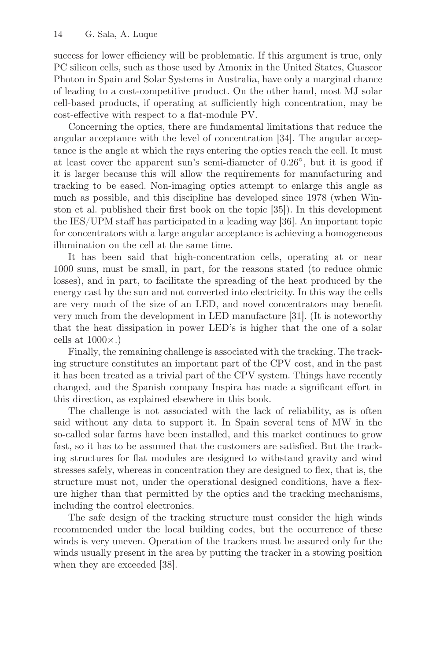success for lower efficiency will be problematic. If this argument is true, only PC silicon cells, such as those used by Amonix in the United States, Guascor Photon in Spain and Solar Systems in Australia, have only a marginal chance of leading to a cost-competitive product. On the other hand, most MJ solar cell-based products, if operating at sufficiently high concentration, may be cost-effective with respect to a flat-module PV.

Concerning the optics, there are fundamental limitations that reduce the angular acceptance with the level of concentration [34]. The angular acceptance is the angle at which the rays entering the optics reach the cell. It must at least cover the apparent sun's semi-diameter of 0.26◦, but it is good if it is larger because this will allow the requirements for manufacturing and tracking to be eased. Non-imaging optics attempt to enlarge this angle as much as possible, and this discipline has developed since 1978 (when Winston et al. published their first book on the topic [35]). In this development the IES/UPM staff has participated in a leading way [36]. An important topic for concentrators with a large angular acceptance is achieving a homogeneous illumination on the cell at the same time.

It has been said that high-concentration cells, operating at or near 1000 suns, must be small, in part, for the reasons stated (to reduce ohmic losses), and in part, to facilitate the spreading of the heat produced by the energy cast by the sun and not converted into electricity. In this way the cells are very much of the size of an LED, and novel concentrators may benefit very much from the development in LED manufacture [31]. (It is noteworthy that the heat dissipation in power LED's is higher that the one of a solar cells at  $1000 \times$ .)

Finally, the remaining challenge is associated with the tracking. The tracking structure constitutes an important part of the CPV cost, and in the past it has been treated as a trivial part of the CPV system. Things have recently changed, and the Spanish company Inspira has made a significant effort in this direction, as explained elsewhere in this book.

The challenge is not associated with the lack of reliability, as is often said without any data to support it. In Spain several tens of MW in the so-called solar farms have been installed, and this market continues to grow fast, so it has to be assumed that the customers are satisfied. But the tracking structures for flat modules are designed to withstand gravity and wind stresses safely, whereas in concentration they are designed to flex, that is, the structure must not, under the operational designed conditions, have a flexure higher than that permitted by the optics and the tracking mechanisms, including the control electronics.

The safe design of the tracking structure must consider the high winds recommended under the local building codes, but the occurrence of these winds is very uneven. Operation of the trackers must be assured only for the winds usually present in the area by putting the tracker in a stowing position when they are exceeded [38].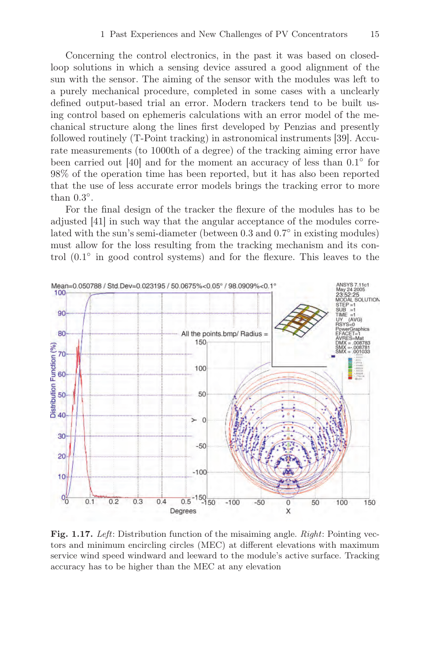Concerning the control electronics, in the past it was based on closedloop solutions in which a sensing device assured a good alignment of the sun with the sensor. The aiming of the sensor with the modules was left to a purely mechanical procedure, completed in some cases with a unclearly defined output-based trial an error. Modern trackers tend to be built using control based on ephemeris calculations with an error model of the mechanical structure along the lines first developed by Penzias and presently followed routinely (T-Point tracking) in astronomical instruments [39]. Accurate measurements (to 1000th of a degree) of the tracking aiming error have been carried out [40] and for the moment an accuracy of less than  $0.1^\circ$  for 98% of the operation time has been reported, but it has also been reported that the use of less accurate error models brings the tracking error to more than  $0.3^\circ$ .

For the final design of the tracker the flexure of the modules has to be adjusted [41] in such way that the angular acceptance of the modules correlated with the sun's semi-diameter (between  $0.3$  and  $0.7^\circ$  in existing modules) must allow for the loss resulting from the tracking mechanism and its control (0.1◦ in good control systems) and for the flexure. This leaves to the



Fig. 1.17. *Left*: Distribution function of the misaiming angle. *Right*: Pointing vectors and minimum encircling circles (MEC) at different elevations with maximum service wind speed windward and leeward to the module's active surface. Tracking accuracy has to be higher than the MEC at any elevation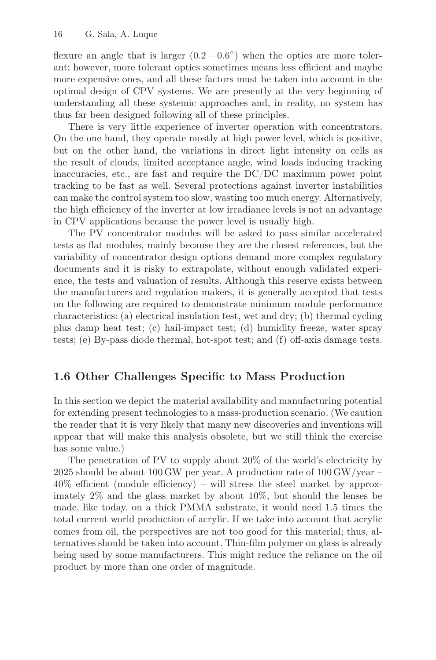flexure an angle that is larger  $(0.2 - 0.6°)$  when the optics are more tolerant; however, more tolerant optics sometimes means less efficient and maybe more expensive ones, and all these factors must be taken into account in the optimal design of CPV systems. We are presently at the very beginning of understanding all these systemic approaches and, in reality, no system has thus far been designed following all of these principles.

There is very little experience of inverter operation with concentrators. On the one hand, they operate mostly at high power level, which is positive, but on the other hand, the variations in direct light intensity on cells as the result of clouds, limited acceptance angle, wind loads inducing tracking inaccuracies, etc., are fast and require the DC/DC maximum power point tracking to be fast as well. Several protections against inverter instabilities can make the control system too slow, wasting too much energy. Alternatively, the high efficiency of the inverter at low irradiance levels is not an advantage in CPV applications because the power level is usually high.

The PV concentrator modules will be asked to pass similar accelerated tests as flat modules, mainly because they are the closest references, but the variability of concentrator design options demand more complex regulatory documents and it is risky to extrapolate, without enough validated experience, the tests and valuation of results. Although this reserve exists between the manufacturers and regulation makers, it is generally accepted that tests on the following are required to demonstrate minimum module performance characteristics: (a) electrical insulation test, wet and dry; (b) thermal cycling plus damp heat test; (c) hail-impact test; (d) humidity freeze, water spray tests; (e) By-pass diode thermal, hot-spot test; and (f) off-axis damage tests.

# 1.6 Other Challenges Specific to Mass Production

In this section we depict the material availability and manufacturing potential for extending present technologies to a mass-production scenario. (We caution the reader that it is very likely that many new discoveries and inventions will appear that will make this analysis obsolete, but we still think the exercise has some value.)

The penetration of PV to supply about 20% of the world's electricity by 2025 should be about 100 GW per year. A production rate of 100 GW/year – 40% efficient (module efficiency) – will stress the steel market by approximately 2% and the glass market by about 10%, but should the lenses be made, like today, on a thick PMMA substrate, it would need 1.5 times the total current world production of acrylic. If we take into account that acrylic comes from oil, the perspectives are not too good for this material; thus, alternatives should be taken into account. Thin-film polymer on glass is already being used by some manufacturers. This might reduce the reliance on the oil product by more than one order of magnitude.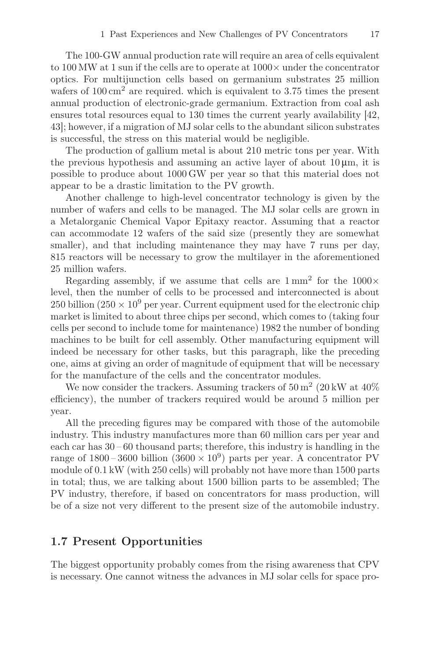The 100-GW annual production rate will require an area of cells equivalent to 100 MW at 1 sun if the cells are to operate at 1000× under the concentrator optics. For multijunction cells based on germanium substrates 25 million wafers of  $100 \text{ cm}^2$  are required. which is equivalent to 3.75 times the present annual production of electronic-grade germanium. Extraction from coal ash ensures total resources equal to 130 times the current yearly availability [42, 43]; however, if a migration of MJ solar cells to the abundant silicon substrates is successful, the stress on this material would be negligible.

The production of gallium metal is about 210 metric tons per year. With the previous hypothesis and assuming an active layer of about  $10 \mu m$ , it is possible to produce about 1000 GW per year so that this material does not appear to be a drastic limitation to the PV growth.

Another challenge to high-level concentrator technology is given by the number of wafers and cells to be managed. The MJ solar cells are grown in a Metalorganic Chemical Vapor Epitaxy reactor. Assuming that a reactor can accommodate 12 wafers of the said size (presently they are somewhat smaller), and that including maintenance they may have 7 runs per day, 815 reactors will be necessary to grow the multilayer in the aforementioned 25 million wafers.

Regarding assembly, if we assume that cells are  $1 \text{ mm}^2$  for the  $1000 \times$ level, then the number of cells to be processed and interconnected is about 250 billion  $(250 \times 10^9$  per year. Current equipment used for the electronic chip market is limited to about three chips per second, which comes to (taking four cells per second to include tome for maintenance) 1982 the number of bonding machines to be built for cell assembly. Other manufacturing equipment will indeed be necessary for other tasks, but this paragraph, like the preceding one, aims at giving an order of magnitude of equipment that will be necessary for the manufacture of the cells and the concentrator modules.

We now consider the trackers. Assuming trackers of  $50 \,\mathrm{m}^2$  (20 kW at  $40\%$ efficiency), the number of trackers required would be around 5 million per year.

All the preceding figures may be compared with those of the automobile industry. This industry manufactures more than 60 million cars per year and each car has 30 – 60 thousand parts; therefore, this industry is handling in the range of 1800 – 3600 billion  $(3600 \times 10^9)$  parts per year. A concentrator PV module of 0.1 kW (with 250 cells) will probably not have more than 1500 parts in total; thus, we are talking about 1500 billion parts to be assembled; The PV industry, therefore, if based on concentrators for mass production, will be of a size not very different to the present size of the automobile industry.

#### 1.7 Present Opportunities

The biggest opportunity probably comes from the rising awareness that CPV is necessary. One cannot witness the advances in MJ solar cells for space pro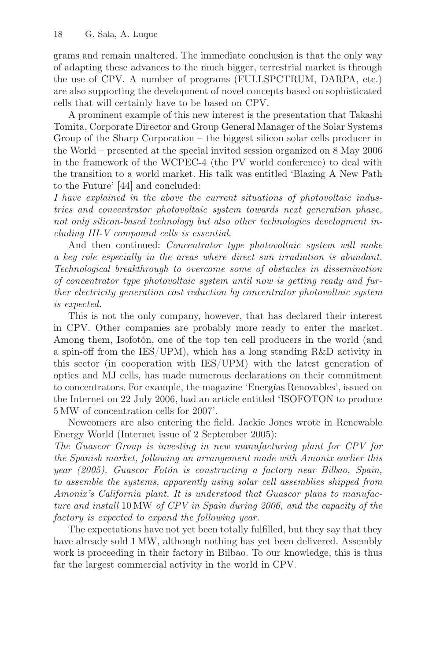grams and remain unaltered. The immediate conclusion is that the only way of adapting these advances to the much bigger, terrestrial market is through the use of CPV. A number of programs (FULLSPCTRUM, DARPA, etc.) are also supporting the development of novel concepts based on sophisticated cells that will certainly have to be based on CPV.

A prominent example of this new interest is the presentation that Takashi Tomita, Corporate Director and Group General Manager of the Solar Systems Group of the Sharp Corporation – the biggest silicon solar cells producer in the World – presented at the special invited session organized on 8 May 2006 in the framework of the WCPEC-4 (the PV world conference) to deal with the transition to a world market. His talk was entitled 'Blazing A New Path to the Future' [44] and concluded:

*I have explained in the above the current situations of photovoltaic industries and concentrator photovoltaic system towards next generation phase, not only silicon-based technology but also other technologies development including III-V compound cells is essential.*

And then continued: *Concentrator type photovoltaic system will make a key role especially in the areas where direct sun irradiation is abundant. Technological breakthrough to overcome some of obstacles in dissemination of concentrator type photovoltaic system until now is getting ready and further electricity generation cost reduction by concentrator photovoltaic system is expected.*

This is not the only company, however, that has declared their interest in CPV. Other companies are probably more ready to enter the market. Among them, Isofotón, one of the top ten cell producers in the world (and a spin-off from the IES/UPM), which has a long standing R&D activity in this sector (in cooperation with IES/UPM) with the latest generation of optics and MJ cells, has made numerous declarations on their commitment to concentrators. For example, the magazine 'Energías Renovables', issued on the Internet on 22 July 2006, had an article entitled 'ISOFOTON to produce 5 MW of concentration cells for 2007'.

Newcomers are also entering the field. Jackie Jones wrote in Renewable Energy World (Internet issue of 2 September 2005):

*The Guascor Group is investing in new manufacturing plant for CPV for the Spanish market, following an arrangement made with Amonix earlier this year (2005). Guascor Fotón is constructing a factory near Bilbao, Spain, to assemble the systems, apparently using solar cell assemblies shipped from Amonix's California plant. It is understood that Guascor plans to manufacture and install* 10 MW *of CPV in Spain during 2006, and the capacity of the factory is expected to expand the following year.*

The expectations have not yet been totally fulfilled, but they say that they have already sold 1 MW, although nothing has yet been delivered. Assembly work is proceeding in their factory in Bilbao. To our knowledge, this is thus far the largest commercial activity in the world in CPV.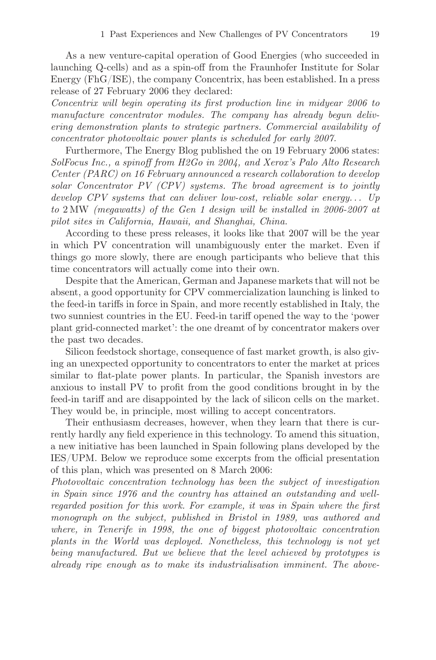As a new venture-capital operation of Good Energies (who succeeded in launching Q-cells) and as a spin-off from the Fraunhofer Institute for Solar Energy (FhG/ISE), the company Concentrix, has been established. In a press release of 27 February 2006 they declared:

*Concentrix will begin operating its first production line in midyear 2006 to manufacture concentrator modules. The company has already begun delivering demonstration plants to strategic partners. Commercial availability of concentrator photovoltaic power plants is scheduled for early 2007.*

Furthermore, The Energy Blog published the on 19 February 2006 states: *SolFocus Inc., a spinoff from H2Go in 2004, and Xerox's Palo Alto Research Center (PARC) on 16 February announced a research collaboration to develop solar Concentrator PV (CPV) systems. The broad agreement is to jointly develop CPV systems that can deliver low-cost, reliable solar energy. . . Up to* 2 MW *(megawatts) of the Gen 1 design will be installed in 2006-2007 at pilot sites in California, Hawaii, and Shanghai, China.*

According to these press releases, it looks like that 2007 will be the year in which PV concentration will unambiguously enter the market. Even if things go more slowly, there are enough participants who believe that this time concentrators will actually come into their own.

Despite that the American, German and Japanese markets that will not be absent, a good opportunity for CPV commercialization launching is linked to the feed-in tariffs in force in Spain, and more recently established in Italy, the two sunniest countries in the EU. Feed-in tariff opened the way to the 'power plant grid-connected market': the one dreamt of by concentrator makers over the past two decades.

Silicon feedstock shortage, consequence of fast market growth, is also giving an unexpected opportunity to concentrators to enter the market at prices similar to flat-plate power plants. In particular, the Spanish investors are anxious to install PV to profit from the good conditions brought in by the feed-in tariff and are disappointed by the lack of silicon cells on the market. They would be, in principle, most willing to accept concentrators.

Their enthusiasm decreases, however, when they learn that there is currently hardly any field experience in this technology. To amend this situation, a new initiative has been launched in Spain following plans developed by the IES/UPM. Below we reproduce some excerpts from the official presentation of this plan, which was presented on 8 March 2006:

*Photovoltaic concentration technology has been the subject of investigation in Spain since 1976 and the country has attained an outstanding and wellregarded position for this work. For example, it was in Spain where the first monograph on the subject, published in Bristol in 1989, was authored and where, in Tenerife in 1998, the one of biggest photovoltaic concentration plants in the World was deployed. Nonetheless, this technology is not yet being manufactured. But we believe that the level achieved by prototypes is already ripe enough as to make its industrialisation imminent. The above-*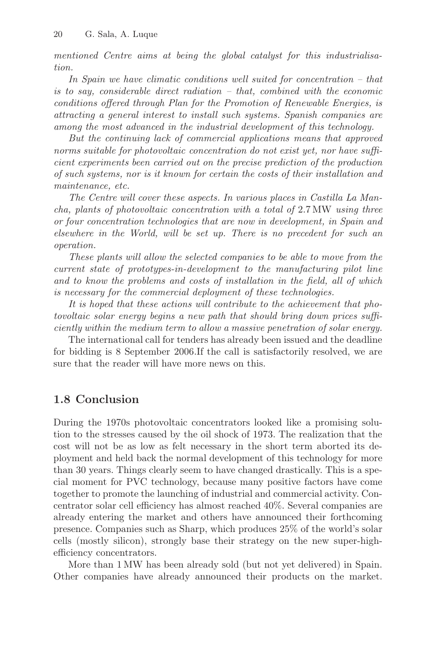*mentioned Centre aims at being the global catalyst for this industrialisation.*

*In Spain we have climatic conditions well suited for concentration – that is to say, considerable direct radiation – that, combined with the economic conditions offered through Plan for the Promotion of Renewable Energies, is attracting a general interest to install such systems. Spanish companies are among the most advanced in the industrial development of this technology.*

*But the continuing lack of commercial applications means that approved norms suitable for photovoltaic concentration do not exist yet, nor have sufficient experiments been carried out on the precise prediction of the production of such systems, nor is it known for certain the costs of their installation and maintenance, etc.*

*The Centre will cover these aspects. In various places in Castilla La Mancha, plants of photovoltaic concentration with a total of* 2.7 MW *using three or four concentration technologies that are now in development, in Spain and elsewhere in the World, will be set up. There is no precedent for such an operation.*

*These plants will allow the selected companies to be able to move from the current state of prototypes-in-development to the manufacturing pilot line and to know the problems and costs of installation in the field, all of which is necessary for the commercial deployment of these technologies.*

*It is hoped that these actions will contribute to the achievement that photovoltaic solar energy begins a new path that should bring down prices sufficiently within the medium term to allow a massive penetration of solar energy.*

The international call for tenders has already been issued and the deadline for bidding is 8 September 2006.If the call is satisfactorily resolved, we are sure that the reader will have more news on this.

# 1.8 Conclusion

During the 1970s photovoltaic concentrators looked like a promising solution to the stresses caused by the oil shock of 1973. The realization that the cost will not be as low as felt necessary in the short term aborted its deployment and held back the normal development of this technology for more than 30 years. Things clearly seem to have changed drastically. This is a special moment for PVC technology, because many positive factors have come together to promote the launching of industrial and commercial activity. Concentrator solar cell efficiency has almost reached 40%. Several companies are already entering the market and others have announced their forthcoming presence. Companies such as Sharp, which produces 25% of the world's solar cells (mostly silicon), strongly base their strategy on the new super-highefficiency concentrators.

More than 1 MW has been already sold (but not yet delivered) in Spain. Other companies have already announced their products on the market.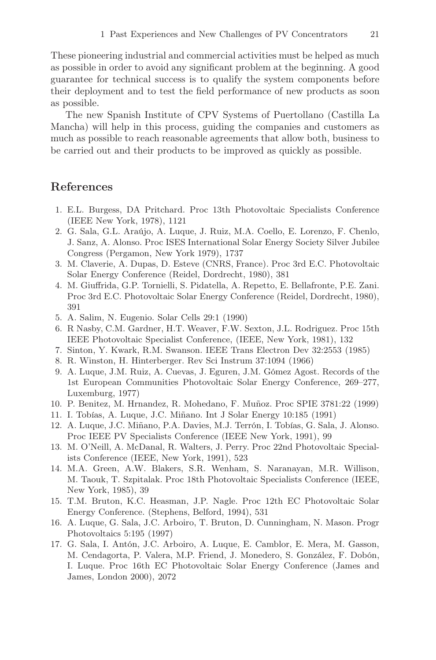These pioneering industrial and commercial activities must be helped as much as possible in order to avoid any significant problem at the beginning. A good guarantee for technical success is to qualify the system components before their deployment and to test the field performance of new products as soon as possible.

The new Spanish Institute of CPV Systems of Puertollano (Castilla La Mancha) will help in this process, guiding the companies and customers as much as possible to reach reasonable agreements that allow both, business to be carried out and their products to be improved as quickly as possible.

### References

- 1. E.L. Burgess, DA Pritchard. Proc 13th Photovoltaic Specialists Conference (IEEE New York, 1978), 1121
- 2. G. Sala, G.L. Araújo, A. Luque, J. Ruiz, M.A. Coello, E. Lorenzo, F. Chenlo, J. Sanz, A. Alonso. Proc ISES International Solar Energy Society Silver Jubilee Congress (Pergamon, New York 1979), 1737
- 3. M. Claverie, A. Dupas, D. Esteve (CNRS, France). Proc 3rd E.C. Photovoltaic Solar Energy Conference (Reidel, Dordrecht, 1980), 381
- 4. M. Giuffrida, G.P. Tornielli, S. Pidatella, A. Repetto, E. Bellafronte, P.E. Zani. Proc 3rd E.C. Photovoltaic Solar Energy Conference (Reidel, Dordrecht, 1980), 391
- 5. A. Salim, N. Eugenio. Solar Cells 29:1 (1990)
- 6. R Nasby, C.M. Gardner, H.T. Weaver, F.W. Sexton, J.L. Rodriguez. Proc 15th IEEE Photovoltaic Specialist Conference, (IEEE, New York, 1981), 132
- 7. Sinton, Y. Kwark, R.M. Swanson. IEEE Trans Electron Dev 32:2553 (1985)
- 8. R. Winston, H. Hinterberger. Rev Sci Instrum 37:1094 (1966)
- 9. A. Luque, J.M. Ruiz, A. Cuevas, J. Eguren, J.M. Gómez Agost. Records of the 1st European Communities Photovoltaic Solar Energy Conference, 269–277, Luxemburg, 1977)
- 10. P. Benitez, M. Hrnandez, R. Mohedano, F. Muñoz. Proc SPIE 3781:22 (1999)
- 11. I. Tobías, A. Luque, J.C. Miñano. Int J Solar Energy 10:185 (1991)
- 12. A. Luque, J.C. Miñano, P.A. Davies, M.J. Terrón, I. Tobías, G. Sala, J. Alonso. Proc IEEE PV Specialists Conference (IEEE New York, 1991), 99
- 13. M. O'Neill, A. McDanal, R. Walters, J. Perry. Proc 22nd Photovoltaic Specialists Conference (IEEE, New York, 1991), 523
- 14. M.A. Green, A.W. Blakers, S.R. Wenham, S. Naranayan, M.R. Willison, M. Taouk, T. Szpitalak. Proc 18th Photovoltaic Specialists Conference (IEEE, New York, 1985), 39
- 15. T.M. Bruton, K.C. Heasman, J.P. Nagle. Proc 12th EC Photovoltaic Solar Energy Conference. (Stephens, Belford, 1994), 531
- 16. A. Luque, G. Sala, J.C. Arboiro, T. Bruton, D. Cunningham, N. Mason. Progr Photovoltaics 5:195 (1997)
- 17. G. Sala, I. Antón, J.C. Arboiro, A. Luque, E. Camblor, E. Mera, M. Gasson, M. Cendagorta, P. Valera, M.P. Friend, J. Monedero, S. González, F. Dobón, I. Luque. Proc 16th EC Photovoltaic Solar Energy Conference (James and James, London 2000), 2072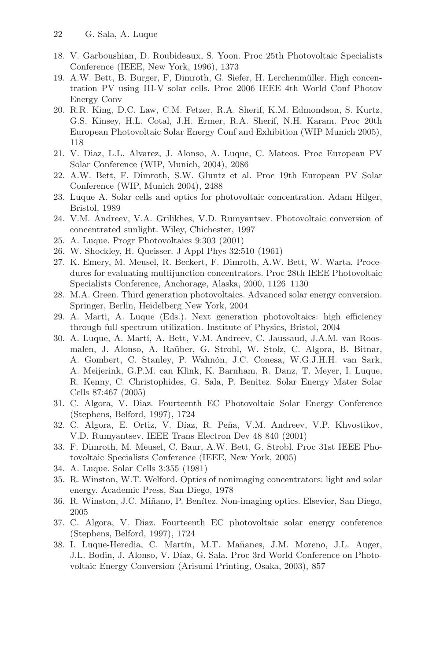- 18. V. Garboushian, D. Roubideaux, S. Yoon. Proc 25th Photovoltaic Specialists Conference (IEEE, New York, 1996), 1373
- 19. A.W. Bett, B. Burger, F, Dimroth, G. Siefer, H. Lerchenmüller. High concentration PV using III-V solar cells. Proc 2006 IEEE 4th World Conf Photov Energy Conv
- 20. R.R. King, D.C. Law, C.M. Fetzer, R.A. Sherif, K.M. Edmondson, S. Kurtz, G.S. Kinsey, H.L. Cotal, J.H. Ermer, R.A. Sherif, N.H. Karam. Proc 20th European Photovoltaic Solar Energy Conf and Exhibition (WIP Munich 2005), 118
- 21. V. Diaz, L.L. Alvarez, J. Alonso, A. Luque, C. Mateos. Proc European PV Solar Conference (WIP, Munich, 2004), 2086
- 22. A.W. Bett, F. Dimroth, S.W. Gluntz et al. Proc 19th European PV Solar Conference (WIP, Munich 2004), 2488
- 23. Luque A. Solar cells and optics for photovoltaic concentration. Adam Hilger, Bristol, 1989
- 24. V.M. Andreev, V.A. Grilikhes, V.D. Rumyantsev. Photovoltaic conversion of concentrated sunlight. Wiley, Chichester, 1997
- 25. A. Luque. Progr Photovoltaics 9:303 (2001)
- 26. W. Shockley, H. Queisser. J Appl Phys 32:510 (1961)
- 27. K. Emery, M. Meusel, R. Beckert, F. Dimroth, A.W. Bett, W. Warta. Procedures for evaluating multijunction concentrators. Proc 28th IEEE Photovoltaic Specialists Conference, Anchorage, Alaska, 2000, 1126–1130
- 28. M.A. Green. Third generation photovoltaics. Advanced solar energy conversion. Springer, Berlin, Heidelberg New York, 2004
- 29. A. Marti, A. Luque (Eds.). Next generation photovoltaics: high efficiency through full spectrum utilization. Institute of Physics, Bristol, 2004
- 30. A. Luque, A. Martí, A. Bett, V.M. Andreev, C. Jaussaud, J.A.M. van Roosmalen, J. Alonso, A. Raüber, G. Strobl, W. Stolz, C. Algora, B. Bitnar, A. Gombert, C. Stanley, P. Wahnón, J.C. Conesa, W.G.J.H.H. van Sark, A. Meijerink, G.P.M. can Klink, K. Barnham, R. Danz, T. Meyer, I. Luque, R. Kenny, C. Christophides, G. Sala, P. Benitez. Solar Energy Mater Solar Cells 87:467 (2005)
- 31. C. Algora, V. Diaz. Fourteenth EC Photovoltaic Solar Energy Conference (Stephens, Belford, 1997), 1724
- 32. C. Algora, E. Ortiz, V. Díaz, R. Peña, V.M. Andreev, V.P. Khvostikov, V.D. Rumyantsev. IEEE Trans Electron Dev 48 840 (2001)
- 33. F. Dimroth, M. Meusel, C. Baur, A.W. Bett, G. Strobl. Proc 31st IEEE Photovoltaic Specialists Conference (IEEE, New York, 2005)
- 34. A. Luque. Solar Cells 3:355 (1981)
- 35. R. Winston, W.T. Welford. Optics of nonimaging concentrators: light and solar energy. Academic Press, San Diego, 1978
- 36. R. Winston, J.C. Miñano, P. Benítez. Non-imaging optics. Elsevier, San Diego, 2005
- 37. C. Algora, V. Diaz. Fourteenth EC photovoltaic solar energy conference (Stephens, Belford, 1997), 1724
- 38. I. Luque-Heredia, C. Martín, M.T. Mañanes, J.M. Moreno, J.L. Auger, J.L. Bodin, J. Alonso, V. Díaz, G. Sala. Proc 3rd World Conference on Photovoltaic Energy Conversion (Arisumi Printing, Osaka, 2003), 857